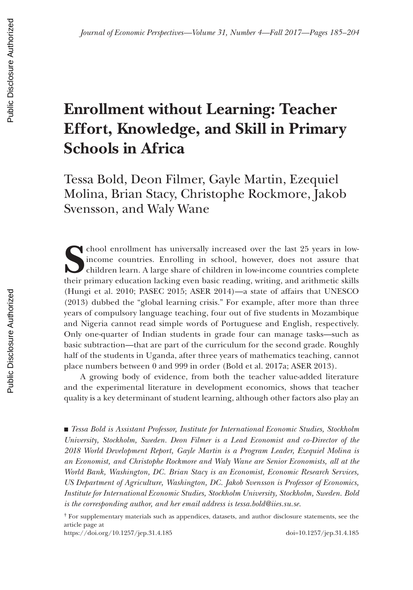# **Enrollment without Learning: Teacher Effort, Knowledge, and Skill in Primary Schools in Africa**

Tessa Bold, Deon Filmer, Gayle Martin, Ezequiel Molina, Brian Stacy, Christophe Rockmore, Jakob Svensson, and Waly Wane

**S**chool enrollment has universally increased over the last 25 years in lowincome countries. Enrolling in school, however, does not assure that children learn. A large share of children in low-income countries complete their primary education lacking even basic reading, writing, and arithmetic skills (Hungi et al. 2010; PASEC 2015; ASER 2014)—a state of affairs that UNESCO (2013) dubbed the "global learning crisis." For example, after more than three years of compulsory language teaching, four out of five students in Mozambique and Nigeria cannot read simple words of Portuguese and English, respectively. Only one-quarter of Indian students in grade four can manage tasks—such as basic subtraction—that are part of the curriculum for the second grade. Roughly half of the students in Uganda, after three years of mathematics teaching, cannot place numbers between 0 and 999 in order (Bold et al. 2017a; ASER 2013).

A growing body of evidence, from both the teacher value-added literature and the experimental literature in development economics, shows that teacher quality is a key determinant of student learning, although other factors also play an

■ *Tessa Bold is Assistant Professor, Institute for International Economic Studies, Stockholm University, Stockholm, Sweden. Deon Filmer is a Lead Economist and co-Director of the 2018 World Development Report, Gayle Martin is a Program Leader, Ezequiel Molina is an Economist, and Christophe Rockmore and Waly Wane are Senior Economists, all at the World Bank, Washington, DC. Brian Stacy is an Economist, Economic Research Services, US Department of Agriculture, Washington, DC. Jakob Svensson is Professor of Economics, Institute for International Economic Studies, Stockholm University, Stockholm, Sweden. Bold*  is the corresponding author, and her email address is tessa.bold@iies.su.se.

https://doi.org/10.1257/jep.31.4.185 doi=10.1257/jep.31.4.185

<sup>†</sup> For supplementary materials such as appendices, datasets, and author disclosure statements, see the article page at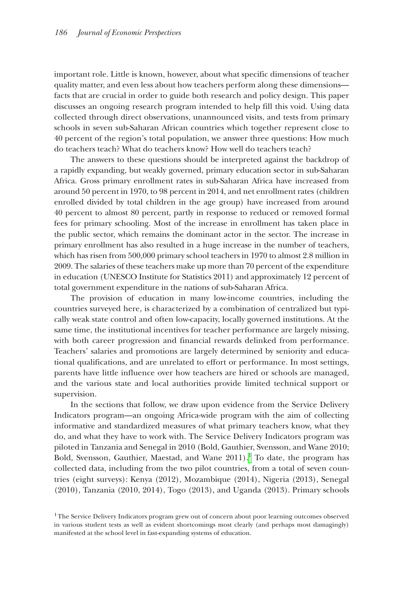important role. Little is known, however, about what specific dimensions of teacher quality matter, and even less about how teachers perform along these dimensions facts that are crucial in order to guide both research and policy design. This paper discusses an ongoing research program intended to help fill this void. Using data collected through direct observations, unannounced visits, and tests from primary schools in seven sub-Saharan African countries which together represent close to 40 percent of the region's total population, we answer three questions: How much do teachers teach? What do teachers know? How well do teachers teach?

The answers to these questions should be interpreted against the backdrop of a rapidly expanding, but weakly governed, primary education sector in sub-Saharan Africa. Gross primary enrollment rates in sub-Saharan Africa have increased from around 50 percent in 1970, to 98 percent in 2014, and net enrollment rates (children enrolled divided by total children in the age group) have increased from around 40 percent to almost 80 percent, partly in response to reduced or removed formal fees for primary schooling. Most of the increase in enrollment has taken place in the public sector, which remains the dominant actor in the sector. The increase in primary enrollment has also resulted in a huge increase in the number of teachers, which has risen from 500,000 primary school teachers in 1970 to almost 2.8 million in 2009. The salaries of these teachers make up more than 70 percent of the expenditure in education (UNESCO Institute for Statistics 2011) and approximately 12 percent of total government expenditure in the nations of sub-Saharan Africa.

The provision of education in many low-income countries, including the countries surveyed here, is characterized by a combination of centralized but typically weak state control and often low-capacity, locally governed institutions. At the same time, the institutional incentives for teacher performance are largely missing, with both career progression and financial rewards delinked from performance. Teachers' salaries and promotions are largely determined by seniority and educational qualifications, and are unrelated to effort or performance. In most settings, parents have little influence over how teachers are hired or schools are managed, and the various state and local authorities provide limited technical support or supervision.

In the sections that follow, we draw upon evidence from the Service Delivery Indicators program—an ongoing Africa-wide program with the aim of collecting informative and standardized measures of what primary teachers know, what they do, and what they have to work with. The Service Delivery Indicators program was piloted in Tanzania and Senegal in 2010 (Bold, Gauthier, Svensson, and Wane 2010; Bold, Svensson, Gauthier, Maestad, and Wane  $2011$ ).<sup>1</sup> To date, the program has collected data, including from the two pilot countries, from a total of seven countries (eight surveys): Kenya (2012), Mozambique (2014), Nigeria (2013), Senegal (2010), Tanzania (2010, 2014), Togo (2013), and Uganda (2013). Primary schools

<span id="page-1-0"></span><sup>&</sup>lt;sup>1</sup>The Service Delivery Indicators program grew out of concern about poor learning outcomes observed in various student tests as well as evident shortcomings most clearly (and perhaps most damagingly) manifested at the school level in fast-expanding systems of education.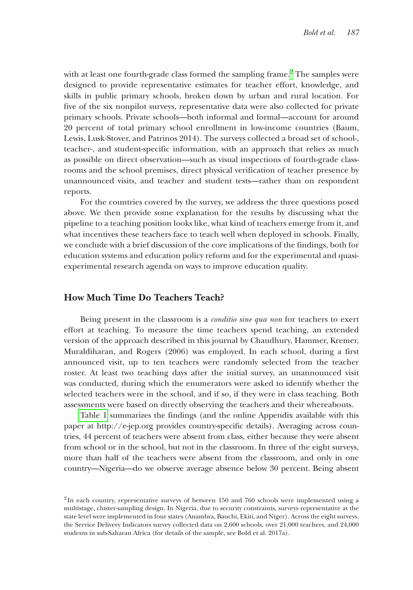with at least one fourth-grade class formed the sampling frame.<sup>[2](#page-2-0)</sup> The samples were designed to provide representative estimates for teacher effort, knowledge, and skills in public primary schools, broken down by urban and rural location. For five of the six nonpilot surveys, representative data were also collected for private primary schools. Private schools—both informal and formal—account for around 20 percent of total primary school enrollment in low-income countries (Baum, Lewis, Lusk-Stover, and Patrinos 2014). The surveys collected a broad set of school-, teacher-, and student-specific information, with an approach that relies as much as possible on direct observation—such as visual inspections of fourth-grade classrooms and the school premises, direct physical verification of teacher presence by unannounced visits, and teacher and student tests—rather than on respondent reports.

For the countries covered by the survey, we address the three questions posed above. We then provide some explanation for the results by discussing what the pipeline to a teaching position looks like, what kind of teachers emerge from it, and what incentives these teachers face to teach well when deployed in schools. Finally, we conclude with a brief discussion of the core implications of the findings, both for education systems and education policy reform and for the experimental and quasiexperimental research agenda on ways to improve education quality.

#### **How Much Time Do Teachers Teach?**

Being present in the classroom is a *conditio sine qua non* for teachers to exert effort at teaching. To measure the time teachers spend teaching, an extended version of the approach described in this journal by Chaudhury, Hammer, Kremer, Muraldiharan, and Rogers (2006) was employed. In each school, during a first announced visit, up to ten teachers were randomly selected from the teacher roster. At least two teaching days after the initial survey, an unannounced visit was conducted, during which the enumerators were asked to identify whether the selected teachers were in the school, and if so, if they were in class teaching. Both assessments were based on directly observing the teachers and their whereabouts.

[Table 1](#page-3-0) summarizes the findings (and the online Appendix available with this paper at http://e-jep.org provides country-specific details). Averaging across countries, 44 percent of teachers were absent from class, either because they were absent from school or in the school, but not in the classroom. In three of the eight surveys, more than half of the teachers were absent from the classroom, and only in one country—Nigeria—do we observe average absence below 30 percent. Being absent

<span id="page-2-0"></span> $2$ In each country, representative surveys of between 150 and 760 schools were implemented using a multistage, cluster-sampling design. In Nigeria, due to security constraints, surveys representative at the state level were implemented in four states (Anambra, Bauchi, Ekiti, and Niger). Across the eight surveys, the Service Delivery Indicators survey collected data on 2,600 schools, over 21,000 teachers, and 24,000 students in sub-Saharan Africa (for details of the sample, see Bold et al. 2017a).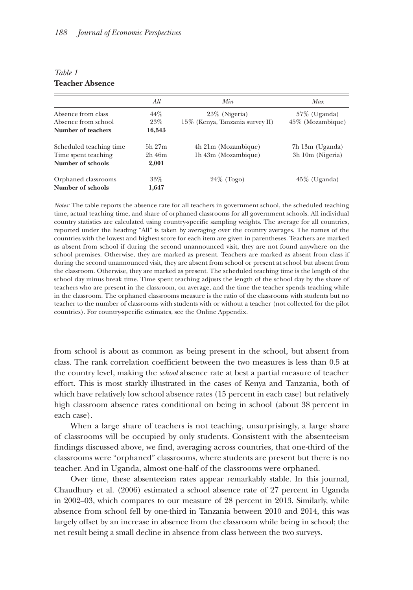|                         | All         | Min.                            | Max               |
|-------------------------|-------------|---------------------------------|-------------------|
| Absence from class      | 44%         | $23\%$ (Nigeria)                | $57\%$ (Uganda)   |
| Absence from school     | $23\%$      | 15% (Kenya, Tanzania survey II) | 45\% (Mozambique) |
| Number of teachers      | 16,543      |                                 |                   |
| Scheduled teaching time | $5h$ $27m$  | 4h 21m (Mozambique)             | 7h 13m (Uganda)   |
| Time spent teaching     | $2h$ 46 $m$ | 1h 43m (Mozambique)             | 3h 10m (Nigeria)  |
| Number of schools       | 2,001       |                                 |                   |
| Orphaned classrooms     | $33\%$      | $24\%$ (Togo)                   | $45\%$ (Uganda)   |
| Number of schools       | 1,647       |                                 |                   |
|                         |             |                                 |                   |

#### <span id="page-3-0"></span>*Table 1* **Teacher Absence**

*Notes:* The table reports the absence rate for all teachers in government school, the scheduled teaching time, actual teaching time, and share of orphaned classrooms for all government schools. All individual country statistics are calculated using country-specific sampling weights. The average for all countries, reported under the heading "All" is taken by averaging over the country averages. The names of the countries with the lowest and highest score for each item are given in parentheses. Teachers are marked as absent from school if during the second unannounced visit, they are not found anywhere on the school premises. Otherwise, they are marked as present. Teachers are marked as absent from class if during the second unannounced visit, they are absent from school or present at school but absent from the classroom. Otherwise, they are marked as present. The scheduled teaching time is the length of the school day minus break time. Time spent teaching adjusts the length of the school day by the share of teachers who are present in the classroom, on average, and the time the teacher spends teaching while in the classroom. The orphaned classrooms measure is the ratio of the classrooms with students but no teacher to the number of classrooms with students with or without a teacher (not collected for the pilot countries). For country-specific estimates, see the Online Appendix.

from school is about as common as being present in the school, but absent from class. The rank correlation coefficient between the two measures is less than 0.5 at the country level, making the *school* absence rate at best a partial measure of teacher effort. This is most starkly illustrated in the cases of Kenya and Tanzania, both of which have relatively low school absence rates (15 percent in each case) but relatively high classroom absence rates conditional on being in school (about 38 percent in each case).

When a large share of teachers is not teaching, unsurprisingly, a large share of classrooms will be occupied by only students. Consistent with the absenteeism findings discussed above, we find, averaging across countries, that one-third of the classrooms were "orphaned" classrooms, where students are present but there is no teacher. And in Uganda, almost one-half of the classrooms were orphaned.

Over time, these absenteeism rates appear remarkably stable. In this journal, Chaudhury et al. (2006) estimated a school absence rate of 27 percent in Uganda in 2002–03, which compares to our measure of 28 percent in 2013. Similarly, while absence from school fell by one-third in Tanzania between 2010 and 2014, this was largely offset by an increase in absence from the classroom while being in school; the net result being a small decline in absence from class between the two surveys.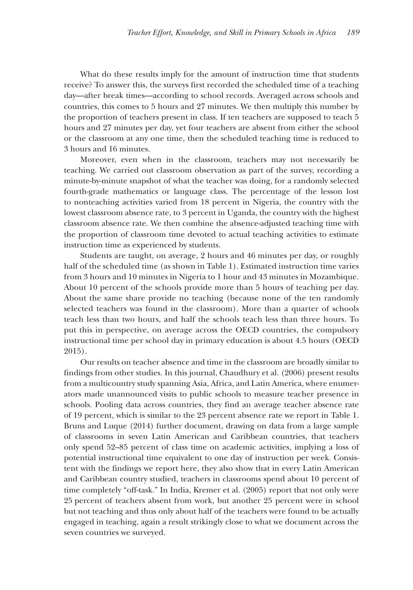What do these results imply for the amount of instruction time that students receive? To answer this, the surveys first recorded the scheduled time of a teaching day—after break times—according to school records. Averaged across schools and countries, this comes to 5 hours and 27 minutes. We then multiply this number by the proportion of teachers present in class. If ten teachers are supposed to teach 5 hours and 27 minutes per day, yet four teachers are absent from either the school or the classroom at any one time, then the scheduled teaching time is reduced to 3 hours and 16 minutes.

Moreover, even when in the classroom, teachers may not necessarily be teaching. We carried out classroom observation as part of the survey, recording a minute-by-minute snapshot of what the teacher was doing, for a randomly selected fourth-grade mathematics or language class. The percentage of the lesson lost to nonteaching activities varied from 18 percent in Nigeria, the country with the lowest classroom absence rate, to 3 percent in Uganda, the country with the highest classroom absence rate. We then combine the absence-adjusted teaching time with the proportion of classroom time devoted to actual teaching activities to estimate instruction time as experienced by students.

Students are taught, on average, 2 hours and 46 minutes per day, or roughly half of the scheduled time (as shown in Table 1). Estimated instruction time varies from 3 hours and 10 minutes in Nigeria to 1 hour and 43 minutes in Mozambique. About 10 percent of the schools provide more than 5 hours of teaching per day. About the same share provide no teaching (because none of the ten randomly selected teachers was found in the classroom). More than a quarter of schools teach less than two hours, and half the schools teach less than three hours. To put this in perspective, on average across the OECD countries, the compulsory instructional time per school day in primary education is about 4.5 hours (OECD 2015).

Our results on teacher absence and time in the classroom are broadly similar to findings from other studies. In this journal, Chaudhury et al. (2006) present results from a multicountry study spanning Asia, Africa, and Latin America, where enumerators made unannounced visits to public schools to measure teacher presence in schools. Pooling data across countries, they find an average teacher absence rate of 19 percent, which is similar to the 23 percent absence rate we report in Table 1. Bruns and Luque (2014) further document, drawing on data from a large sample of classrooms in seven Latin American and Caribbean countries, that teachers only spend 52–85 percent of class time on academic activities, implying a loss of potential instructional time equivalent to one day of instruction per week. Consistent with the findings we report here, they also show that in every Latin American and Caribbean country studied, teachers in classrooms spend about 10 percent of time completely "off-task." In India, Kremer et al. (2005) report that not only were 25 percent of teachers absent from work, but another 25 percent were in school but not teaching and thus only about half of the teachers were found to be actually engaged in teaching, again a result strikingly close to what we document across the seven countries we surveyed.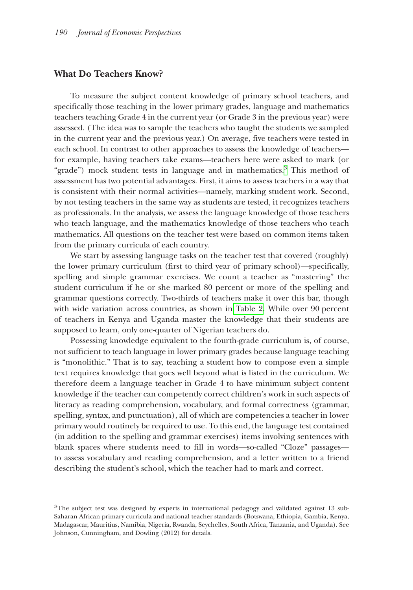#### **What Do Teachers Know?**

To measure the subject content knowledge of primary school teachers, and specifically those teaching in the lower primary grades, language and mathematics teachers teaching Grade 4 in the current year (or Grade 3 in the previous year) were assessed. (The idea was to sample the teachers who taught the students we sampled in the current year and the previous year.) On average, five teachers were tested in each school. In contrast to other approaches to assess the knowledge of teachers for example, having teachers take exams—teachers here were asked to mark (or "grade") mock student tests in language and in mathematics. $3$  This method of assessment has two potential advantages. First, it aims to assess teachers in a way that is consistent with their normal activities—namely, marking student work. Second, by not testing teachers in the same way as students are tested, it recognizes teachers as professionals. In the analysis, we assess the language knowledge of those teachers who teach language, and the mathematics knowledge of those teachers who teach mathematics. All questions on the teacher test were based on common items taken from the primary curricula of each country.

We start by assessing language tasks on the teacher test that covered (roughly) the lower primary curriculum (first to third year of primary school)—specifically, spelling and simple grammar exercises. We count a teacher as "mastering" the student curriculum if he or she marked 80 percent or more of the spelling and grammar questions correctly. Two-thirds of teachers make it over this bar, though with wide variation across countries, as shown in [Table 2.](#page-6-0) While over 90 percent of teachers in Kenya and Uganda master the knowledge that their students are supposed to learn, only one-quarter of Nigerian teachers do.

Possessing knowledge equivalent to the fourth-grade curriculum is, of course, not sufficient to teach language in lower primary grades because language teaching is "monolithic." That is to say, teaching a student how to compose even a simple text requires knowledge that goes well beyond what is listed in the curriculum. We therefore deem a language teacher in Grade 4 to have minimum subject content knowledge if the teacher can competently correct children's work in such aspects of literacy as reading comprehension, vocabulary, and formal correctness (grammar, spelling, syntax, and punctuation), all of which are competencies a teacher in lower primary would routinely be required to use. To this end, the language test contained (in addition to the spelling and grammar exercises) items involving sentences with blank spaces where students need to fill in words—so-called "Cloze" passages to assess vocabulary and reading comprehension, and a letter written to a friend describing the student's school, which the teacher had to mark and correct.

<span id="page-5-0"></span><sup>&</sup>lt;sup>3</sup>The subject test was designed by experts in international pedagogy and validated against 13 sub-Saharan African primary curricula and national teacher standards (Botswana, Ethiopia, Gambia, Kenya, Madagascar, Mauritius, Namibia, Nigeria, Rwanda, Seychelles, South Africa, Tanzania, and Uganda). See Johnson, Cunningham, and Dowling (2012) for details.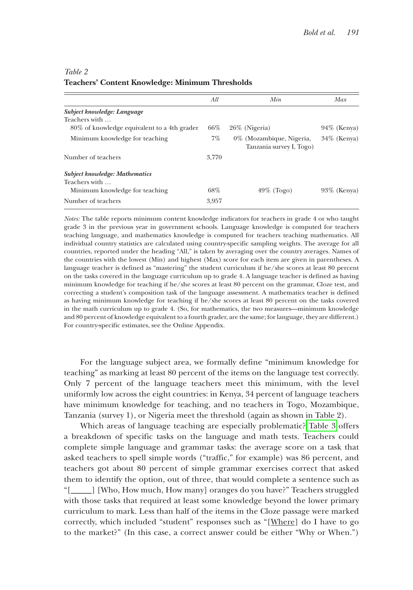|                                                                                              | All   | Min                                                     | Max            |
|----------------------------------------------------------------------------------------------|-------|---------------------------------------------------------|----------------|
| Subject knowledge: Language<br>Teachers with<br>80\% of knowledge equivalent to a 4th grader | 66%   | $26\%$ (Nigeria)                                        | $94\%$ (Kenya) |
| Minimum knowledge for teaching                                                               | 7%    | $0\%$ (Mozambique, Nigeria,<br>Tanzania survey I, Togo) | $34\%$ (Kenya) |
| Number of teachers                                                                           | 3,770 |                                                         |                |
| <b>Subject knowledge: Mathematics</b><br>Teachers with<br>Minimum knowledge for teaching     | 68%   | $49\%$ (Togo)                                           | $93\%$ (Kenya) |
| Number of teachers                                                                           | 3,957 |                                                         |                |

# <span id="page-6-0"></span>*Table 2* **Teachers' Content Knowledge: Minimum Thresholds**

*Notes:* The table reports minimum content knowledge indicators for teachers in grade 4 or who taught grade 3 in the previous year in government schools. Language knowledge is computed for teachers teaching language, and mathematics knowledge is computed for teachers teaching mathematics. All individual country statistics are calculated using country-specific sampling weights. The average for all countries, reported under the heading "All," is taken by averaging over the country averages. Names of the countries with the lowest (Min) and highest (Max) score for each item are given in parentheses. A language teacher is defined as "mastering" the student curriculum if he/she scores at least 80 percent on the tasks covered in the language curriculum up to grade 4. A language teacher is defined as having minimum knowledge for teaching if he/she scores at least 80 percent on the grammar, Cloze test, and correcting a student's composition task of the language assessment. A mathematics teacher is defined as having minimum knowledge for teaching if he/she scores at least 80 percent on the tasks covered in the math curriculum up to grade 4. (So, for mathematics, the two measures—minimum knowledge and 80 percent of knowledge equivalent to a fourth grader, are the same; for language, they are different.) For country-specific estimates, see the Online Appendix.

For the language subject area, we formally define "minimum knowledge for teaching" as marking at least 80 percent of the items on the language test correctly. Only 7 percent of the language teachers meet this minimum, with the level uniformly low across the eight countries: in Kenya, 34 percent of language teachers have minimum knowledge for teaching, and no teachers in Togo, Mozambique, Tanzania (survey 1), or Nigeria meet the threshold (again as shown in Table 2).

Which areas of language teaching are especially problematic? [Table 3](#page-7-0) offers a breakdown of specific tasks on the language and math tests. Teachers could complete simple language and grammar tasks: the average score on a task that asked teachers to spell simple words ("traffic," for example) was 86 percent, and teachers got about 80 percent of simple grammar exercises correct that asked them to identify the option, out of three, that would complete a sentence such as "[\_\_\_\_\_] [Who, How much, How many] oranges do you have?" Teachers struggled with those tasks that required at least some knowledge beyond the lower primary curriculum to mark. Less than half of the items in the Cloze passage were marked correctly, which included "student" responses such as "[Where] do I have to go to the market?" (In this case, a correct answer could be either "Why or When.")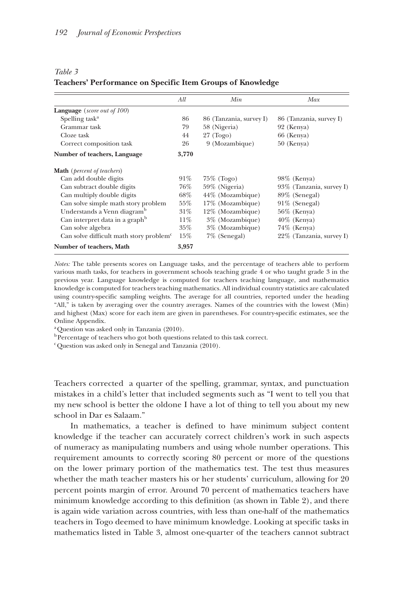<span id="page-7-0"></span>

|--|--|

#### **Teachers' Performance on Specific Item Groups of Knowledge**

|                                                     | All    | Min                     | Max                      |
|-----------------------------------------------------|--------|-------------------------|--------------------------|
| <b>Language</b> ( <i>score out of 100</i> )         |        |                         |                          |
| Spelling task <sup>a</sup>                          | 86     | 86 (Tanzania, survey I) | 86 (Tanzania, survey I)  |
| Grammar task                                        | 79     | 58 (Nigeria)            | 92 (Kenya)               |
| Cloze task                                          | 44     | $27 \text{ (Togo)}$     | 66 (Kenya)               |
| Correct composition task                            | 26     | 9 (Mozambique)          | $50$ (Kenya)             |
| Number of teachers, Language                        | 3,770  |                         |                          |
| <b>Math</b> ( <i>percent of teachers</i> )          |        |                         |                          |
| Can add double digits                               | $91\%$ | $75\%$ (Togo)           | $98\%$ (Kenya)           |
| Can subtract double digits                          | 76%    | 59% (Nigeria)           | 93% (Tanzania, survey I) |
| Can multiply double digits                          | $68\%$ | 44% (Mozambique)        | 89% (Senegal)            |
| Can solve simple math story problem                 | $55\%$ | 17% (Mozambique)        | $91\%$ (Senegal)         |
| Understands a Venn diagram <sup>b</sup>             | $31\%$ | 12% (Mozambique)        | $56\%$ (Kenya)           |
| Can interpret data in a graph <sup>b</sup>          | 11%    | 3% (Mozambique)         | $40\%$ (Kenya)           |
| Can solve algebra                                   | $35\%$ | 3% (Mozambique)         | $74\%$ (Kenya)           |
| Can solve difficult math story problem <sup>c</sup> | $15\%$ | 7% (Senegal)            | 22% (Tanzania, survey I) |
| Number of teachers, Math                            | 3,957  |                         |                          |

*Notes:* The table presents scores on Language tasks, and the percentage of teachers able to perform various math tasks, for teachers in government schools teaching grade 4 or who taught grade 3 in the previous year. Language knowledge is computed for teachers teaching language, and mathematics knowledge is computed for teachers teaching mathematics. All individual country statistics are calculated using country-specific sampling weights. The average for all countries, reported under the heading "All," is taken by averaging over the country averages. Names of the countries with the lowest (Min) and highest (Max) score for each item are given in parentheses. For country-specific estimates, see the Online Appendix.

 $a^2$ Question was asked only in Tanzania (2010).

 $^{\rm b}$  Percentage of teachers who got both questions related to this task correct.

c Question was asked only in Senegal and Tanzania (2010).

Teachers corrected a quarter of the spelling, grammar, syntax, and punctuation mistakes in a child's letter that included segments such as "I went to tell you that my new school is better the oldone I have a lot of thing to tell you about my new school in Dar es Salaam."

In mathematics, a teacher is defined to have minimum subject content knowledge if the teacher can accurately correct children's work in such aspects of numeracy as manipulating numbers and using whole number operations. This requirement amounts to correctly scoring 80 percent or more of the questions on the lower primary portion of the mathematics test. The test thus measures whether the math teacher masters his or her students' curriculum, allowing for 20 percent points margin of error. Around 70 percent of mathematics teachers have minimum knowledge according to this definition (as shown in Table 2), and there is again wide variation across countries, with less than one-half of the mathematics teachers in Togo deemed to have minimum knowledge. Looking at specific tasks in mathematics listed in Table 3, almost one-quarter of the teachers cannot subtract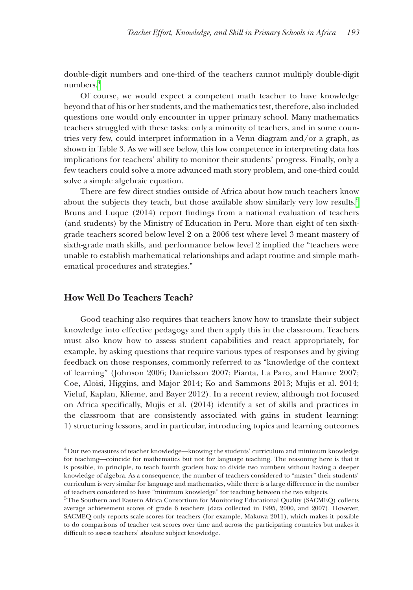double-digit numbers and one-third of the teachers cannot multiply double-digit numbers[.4](#page-8-0)

Of course, we would expect a competent math teacher to have knowledge beyond that of his or her students, and the mathematics test, therefore, also included questions one would only encounter in upper primary school. Many mathematics teachers struggled with these tasks: only a minority of teachers, and in some countries very few, could interpret information in a Venn diagram and/or a graph, as shown in Table 3. As we will see below, this low competence in interpreting data has implications for teachers' ability to monitor their students' progress. Finally, only a few teachers could solve a more advanced math story problem, and one-third could solve a simple algebraic equation.

There are few direct studies outside of Africa about how much teachers know about the subjects they teach, but those available show similarly very low results.<sup>5</sup> Bruns and Luque (2014) report findings from a national evaluation of teachers (and students) by the Ministry of Education in Peru. More than eight of ten sixthgrade teachers scored below level 2 on a 2006 test where level 3 meant mastery of sixth-grade math skills, and performance below level 2 implied the "teachers were unable to establish mathematical relationships and adapt routine and simple mathematical procedures and strategies."

### **How Well Do Teachers Teach?**

Good teaching also requires that teachers know how to translate their subject knowledge into effective pedagogy and then apply this in the classroom. Teachers must also know how to assess student capabilities and react appropriately, for example, by asking questions that require various types of responses and by giving feedback on those responses, commonly referred to as "knowledge of the context of learning" (Johnson 2006; Danielsson 2007; Pianta, La Paro, and Hamre 2007; Coe, Aloisi, Higgins, and Major 2014; Ko and Sammons 2013; Mujis et al. 2014; Vieluf, Kaplan, Klieme, and Bayer 2012). In a recent review, although not focused on Africa specifically, Mujis et al. (2014) identify a set of skills and practices in the classroom that are consistently associated with gains in student learning: 1) structuring lessons, and in particular, introducing topics and learning outcomes

<span id="page-8-0"></span><sup>4</sup>Our two measures of teacher knowledge—knowing the students' curriculum and minimum knowledge for teaching—coincide for mathematics but not for language teaching. The reasoning here is that it is possible, in principle, to teach fourth graders how to divide two numbers without having a deeper knowledge of algebra. As a consequence, the number of teachers considered to "master" their students' curriculum is very similar for language and mathematics, while there is a large difference in the number of teachers considered to have "minimum knowledge" for teaching between the two subjects.

<span id="page-8-1"></span><sup>5</sup>The Southern and Eastern Africa Consortium for Monitoring Educational Quality (SACMEQ) collects average achievement scores of grade 6 teachers (data collected in 1995, 2000, and 2007). However, SACMEQ only reports scale scores for teachers (for example, Makuwa 2011), which makes it possible to do comparisons of teacher test scores over time and across the participating countries but makes it difficult to assess teachers' absolute subject knowledge.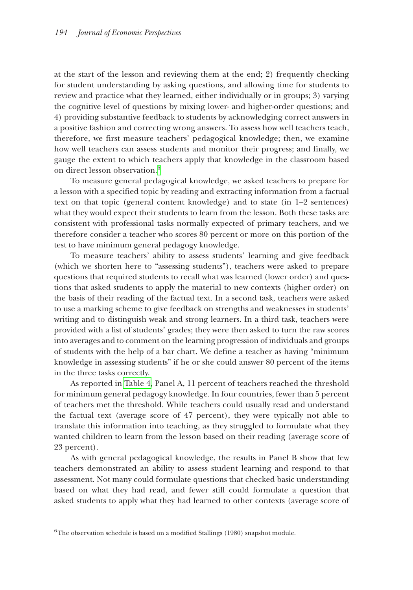at the start of the lesson and reviewing them at the end; 2) frequently checking for student understanding by asking questions, and allowing time for students to review and practice what they learned, either individually or in groups; 3) varying the cognitive level of questions by mixing lower- and higher-order questions; and 4) providing substantive feedback to students by acknowledging correct answers in a positive fashion and correcting wrong answers. To assess how well teachers teach, therefore, we first measure teachers' pedagogical knowledge; then, we examine how well teachers can assess students and monitor their progress; and finally, we gauge the extent to which teachers apply that knowledge in the classroom based on direct lesson observation.<sup>[6](#page-9-0)</sup>

To measure general pedagogical knowledge, we asked teachers to prepare for a lesson with a specified topic by reading and extracting information from a factual text on that topic (general content knowledge) and to state (in 1–2 sentences) what they would expect their students to learn from the lesson. Both these tasks are consistent with professional tasks normally expected of primary teachers, and we therefore consider a teacher who scores 80 percent or more on this portion of the test to have minimum general pedagogy knowledge.

To measure teachers' ability to assess students' learning and give feedback (which we shorten here to "assessing students"), teachers were asked to prepare questions that required students to recall what was learned (lower order) and questions that asked students to apply the material to new contexts (higher order) on the basis of their reading of the factual text. In a second task, teachers were asked to use a marking scheme to give feedback on strengths and weaknesses in students' writing and to distinguish weak and strong learners. In a third task, teachers were provided with a list of students' grades; they were then asked to turn the raw scores into averages and to comment on the learning progression of individuals and groups of students with the help of a bar chart. We define a teacher as having "minimum knowledge in assessing students" if he or she could answer 80 percent of the items in the three tasks correctly.

As reported in [Table 4,](#page-10-0) Panel A, 11 percent of teachers reached the threshold for minimum general pedagogy knowledge. In four countries, fewer than 5 percent of teachers met the threshold. While teachers could usually read and understand the factual text (average score of 47 percent), they were typically not able to translate this information into teaching, as they struggled to formulate what they wanted children to learn from the lesson based on their reading (average score of 23 percent).

As with general pedagogical knowledge, the results in Panel B show that few teachers demonstrated an ability to assess student learning and respond to that assessment. Not many could formulate questions that checked basic understanding based on what they had read, and fewer still could formulate a question that asked students to apply what they had learned to other contexts (average score of

<span id="page-9-0"></span> $6$ The observation schedule is based on a modified Stallings (1980) snapshot module.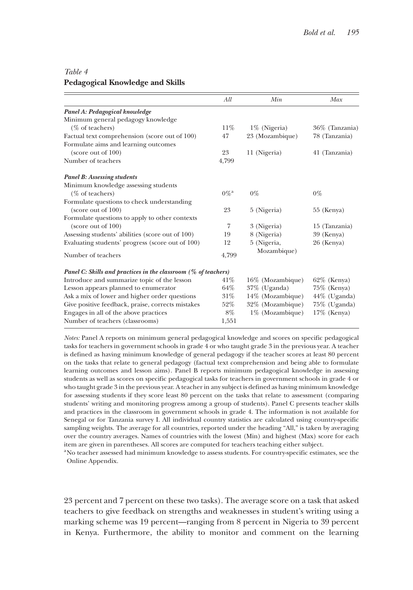## <span id="page-10-0"></span>*Table 4* **Pedagogical Knowledge and Skills**

| All                | Min                                                                | Max             |
|--------------------|--------------------------------------------------------------------|-----------------|
|                    |                                                                    |                 |
|                    |                                                                    |                 |
| $11\%$             | $1\%$ (Nigeria)                                                    | 36% (Tanzania)  |
| 47                 | 23 (Mozambique)                                                    | 78 (Tanzania)   |
|                    |                                                                    |                 |
| 23                 | 11 (Nigeria)                                                       | 41 (Tanzania)   |
| 4,799              |                                                                    |                 |
|                    |                                                                    |                 |
|                    |                                                                    |                 |
| $0\%$ <sup>a</sup> | $0\%$                                                              | $0\%$           |
|                    |                                                                    |                 |
| 23                 | 5 (Nigeria)                                                        | $55$ (Kenya)    |
|                    |                                                                    |                 |
| 7                  | 3 (Nigeria)                                                        | 15 (Tanzania)   |
| 19                 | 8 (Nigeria)                                                        | 39 (Kenya)      |
| 12                 | 5 (Nigeria,                                                        | 26 (Kenya)      |
| 4,799              | Mozambique)                                                        |                 |
|                    |                                                                    |                 |
| 41%                | 16\% (Mozambique)                                                  | $62\%$ (Kenya)  |
| 64%                | $37\%$ (Uganda)                                                    | $75\%$ (Kenya)  |
| $31\%$             | 14% (Mozambique)                                                   | 44% (Uganda)    |
| 52%                | 32% (Mozambique)                                                   | $75\%$ (Uganda) |
| 8%                 | 1% (Mozambique)                                                    | $17\%$ (Kenya)  |
| 1,551              |                                                                    |                 |
|                    | Panel C: Skills and practices in the classroom ( $\%$ of teachers) |                 |

*Notes:* Panel A reports on minimum general pedagogical knowledge and scores on specific pedagogical tasks for teachers in government schools in grade 4 or who taught grade 3 in the previous year. A teacher is defined as having minimum knowledge of general pedagogy if the teacher scores at least 80 percent on the tasks that relate to general pedagogy (factual text comprehension and being able to formulate learning outcomes and lesson aims). Panel B reports minimum pedagogical knowledge in assessing students as well as scores on specific pedagogical tasks for teachers in government schools in grade 4 or who taught grade 3 in the previous year. A teacher in any subject is defined as having minimum knowledge for assessing students if they score least 80 percent on the tasks that relate to assessment (comparing students' writing and monitoring progress among a group of students). Panel C presents teacher skills and practices in the classroom in government schools in grade 4. The information is not available for Senegal or for Tanzania survey I. All individual country statistics are calculated using country-specific sampling weights. The average for all countries, reported under the heading "All," is taken by averaging over the country averages. Names of countries with the lowest (Min) and highest (Max) score for each item are given in parentheses. All scores are computed for teachers teaching either subject.

<sup>a</sup>No teacher assessed had minimum knowledge to assess students. For country-specific estimates, see the Online Appendix.

23 percent and 7 percent on these two tasks). The average score on a task that asked teachers to give feedback on strengths and weaknesses in student's writing using a marking scheme was 19 percent—ranging from 8 percent in Nigeria to 39 percent in Kenya. Furthermore, the ability to monitor and comment on the learning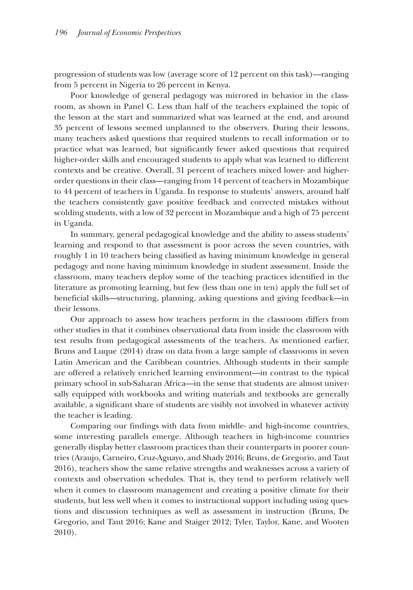progression of students was low (average score of 12 percent on this task)—ranging from 5 percent in Nigeria to 26 percent in Kenya.

Poor knowledge of general pedagogy was mirrored in behavior in the classroom, as shown in Panel C. Less than half of the teachers explained the topic of the lesson at the start and summarized what was learned at the end, and around 35 percent of lessons seemed unplanned to the observers. During their lessons, many teachers asked questions that required students to recall information or to practice what was learned, but significantly fewer asked questions that required higher-order skills and encouraged students to apply what was learned to different contexts and be creative. Overall, 31 percent of teachers mixed lower- and higherorder questions in their class—ranging from 14 percent of teachers in Mozambique to 44 percent of teachers in Uganda. In response to students' answers, around half the teachers consistently gave positive feedback and corrected mistakes without scolding students, with a low of 32 percent in Mozambique and a high of 75 percent in Uganda.

In summary, general pedagogical knowledge and the ability to assess students' learning and respond to that assessment is poor across the seven countries, with roughly 1 in 10 teachers being classified as having minimum knowledge in general pedagogy and none having minimum knowledge in student assessment. Inside the classroom, many teachers deploy some of the teaching practices identified in the literature as promoting learning, but few (less than one in ten) apply the full set of beneficial skills—structuring, planning, asking questions and giving feedback—in their lessons.

Our approach to assess how teachers perform in the classroom differs from other studies in that it combines observational data from inside the classroom with test results from pedagogical assessments of the teachers. As mentioned earlier, Bruns and Luque (2014) draw on data from a large sample of classrooms in seven Latin American and the Caribbean countries. Although students in their sample are offered a relatively enriched learning environment—in contrast to the typical primary school in sub-Saharan Africa—in the sense that students are almost universally equipped with workbooks and writing materials and textbooks are generally available, a significant share of students are visibly not involved in whatever activity the teacher is leading.

Comparing our findings with data from middle- and high-income countries, some interesting parallels emerge. Although teachers in high-income countries generally display better classroom practices than their counterparts in poorer countries (Araujo, Carneiro, Cruz-Aguayo, and Shady 2016; Bruns, de Gregorio, and Taut 2016), teachers show the same relative strengths and weaknesses across a variety of contexts and observation schedules. That is, they tend to perform relatively well when it comes to classroom management and creating a positive climate for their students, but less well when it comes to instructional support including using questions and discussion techniques as well as assessment in instruction (Bruns, De Gregorio, and Taut 2016; Kane and Staiger 2012; Tyler, Taylor, Kane, and Wooten 2010).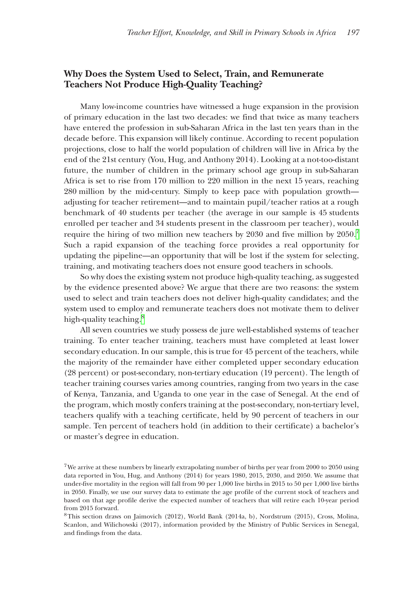# **Why Does the System Used to Select, Train, and Remunerate Teachers Not Produce High-Quality Teaching?**

Many low-income countries have witnessed a huge expansion in the provision of primary education in the last two decades: we find that twice as many teachers have entered the profession in sub-Saharan Africa in the last ten years than in the decade before. This expansion will likely continue. According to recent population projections, close to half the world population of children will live in Africa by the end of the 21st century (You, Hug, and Anthony 2014). Looking at a not-too-distant future, the number of children in the primary school age group in sub-Saharan Africa is set to rise from 170 million to 220 million in the next 15 years, reaching 280 million by the mid-century. Simply to keep pace with population growth adjusting for teacher retirement—and to maintain pupil/teacher ratios at a rough benchmark of 40 students per teacher (the average in our sample is 45 students enrolled per teacher and 34 students present in the classroom per teacher), would require the hiring of two million new teachers by 2030 and five million by  $2050.^7$ Such a rapid expansion of the teaching force provides a real opportunity for updating the pipeline—an opportunity that will be lost if the system for selecting, training, and motivating teachers does not ensure good teachers in schools.

So why does the existing system not produce high-quality teaching, as suggested by the evidence presented above? We argue that there are two reasons: the system used to select and train teachers does not deliver high-quality candidates; and the system used to employ and remunerate teachers does not motivate them to deliver high-quality teaching.<sup>8</sup>

All seven countries we study possess de jure well-established systems of teacher training. To enter teacher training, teachers must have completed at least lower secondary education. In our sample, this is true for 45 percent of the teachers, while the majority of the remainder have either completed upper secondary education (28 percent) or post-secondary, non-tertiary education (19 percent). The length of teacher training courses varies among countries, ranging from two years in the case of Kenya, Tanzania, and Uganda to one year in the case of Senegal. At the end of the program, which mostly confers training at the post-secondary, non-tertiary level, teachers qualify with a teaching certificate, held by 90 percent of teachers in our sample. Ten percent of teachers hold (in addition to their certificate) a bachelor's or master's degree in education.

<span id="page-12-0"></span><sup>&</sup>lt;sup>7</sup>We arrive at these numbers by linearly extrapolating number of births per year from 2000 to 2050 using data reported in You, Hug, and Anthony (2014) for years 1980, 2015, 2030, and 2050. We assume that under-five mortality in the region will fall from 90 per 1,000 live births in 2015 to 50 per 1,000 live births in 2050. Finally, we use our survey data to estimate the age profile of the current stock of teachers and based on that age profile derive the expected number of teachers that will retire each 10-year period from 2015 forward.

<span id="page-12-1"></span><sup>8</sup>This section draws on Jaimovich (2012), World Bank (2014a, b), Nordstrum (2015), Cross, Molina, Scanlon, and Wilichowski (2017), information provided by the Ministry of Public Services in Senegal, and findings from the data.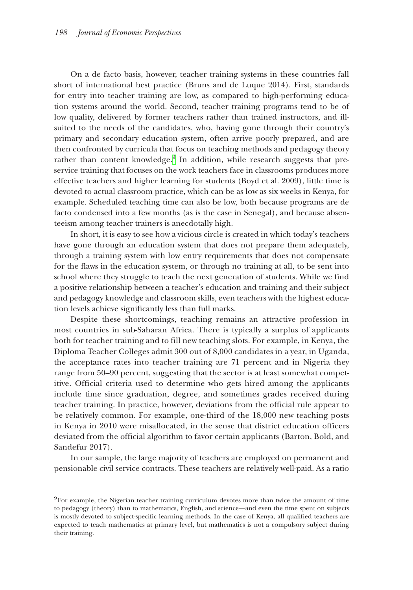On a de facto basis, however, teacher training systems in these countries fall short of international best practice (Bruns and de Luque 2014). First, standards for entry into teacher training are low, as compared to high-performing education systems around the world. Second, teacher training programs tend to be of low quality, delivered by former teachers rather than trained instructors, and illsuited to the needs of the candidates, who, having gone through their country's primary and secondary education system, often arrive poorly prepared, and are then confronted by curricula that focus on teaching methods and pedagogy theory rather than content knowledge.<sup>9</sup> In addition, while research suggests that preservice training that focuses on the work teachers face in classrooms produces more effective teachers and higher learning for students (Boyd et al. 2009), little time is devoted to actual classroom practice, which can be as low as six weeks in Kenya, for example. Scheduled teaching time can also be low, both because programs are de facto condensed into a few months (as is the case in Senegal), and because absenteeism among teacher trainers is anecdotally high.

In short, it is easy to see how a vicious circle is created in which today's teachers have gone through an education system that does not prepare them adequately, through a training system with low entry requirements that does not compensate for the flaws in the education system, or through no training at all, to be sent into school where they struggle to teach the next generation of students. While we find a positive relationship between a teacher's education and training and their subject and pedagogy knowledge and classroom skills, even teachers with the highest education levels achieve significantly less than full marks.

Despite these shortcomings, teaching remains an attractive profession in most countries in sub-Saharan Africa. There is typically a surplus of applicants both for teacher training and to fill new teaching slots. For example, in Kenya, the Diploma Teacher Colleges admit 300 out of 8,000 candidates in a year, in Uganda, the acceptance rates into teacher training are 71 percent and in Nigeria they range from 50–90 percent, suggesting that the sector is at least somewhat competitive. Official criteria used to determine who gets hired among the applicants include time since graduation, degree, and sometimes grades received during teacher training. In practice, however, deviations from the official rule appear to be relatively common. For example, one-third of the 18,000 new teaching posts in Kenya in 2010 were misallocated, in the sense that district education officers deviated from the official algorithm to favor certain applicants (Barton, Bold, and Sandefur 2017).

In our sample, the large majority of teachers are employed on permanent and pensionable civil service contracts. These teachers are relatively well-paid. As a ratio

<span id="page-13-0"></span> $9F$ For example, the Nigerian teacher training curriculum devotes more than twice the amount of time to pedagogy (theory) than to mathematics, English, and science—and even the time spent on subjects is mostly devoted to subject-specific learning methods. In the case of Kenya, all qualified teachers are expected to teach mathematics at primary level, but mathematics is not a compulsory subject during their training.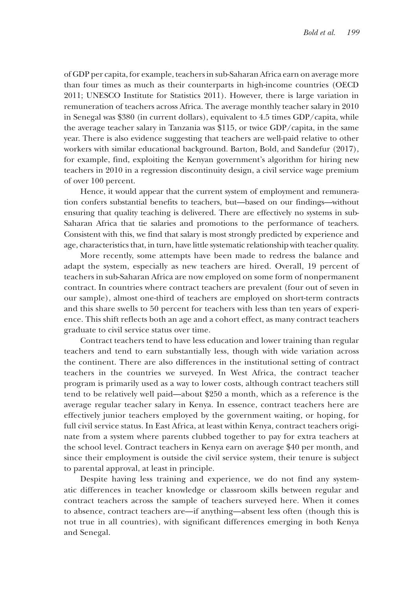of GDP per capita, for example, teachers in sub-Saharan Africa earn on average more than four times as much as their counterparts in high-income countries (OECD 2011; UNESCO Institute for Statistics 2011). However, there is large variation in remuneration of teachers across Africa. The average monthly teacher salary in 2010 in Senegal was \$380 (in current dollars), equivalent to 4.5 times GDP/capita, while the average teacher salary in Tanzania was \$115, or twice GDP/capita, in the same year. There is also evidence suggesting that teachers are well-paid relative to other workers with similar educational background. Barton, Bold, and Sandefur (2017), for example, find, exploiting the Kenyan government's algorithm for hiring new teachers in 2010 in a regression discontinuity design, a civil service wage premium of over 100 percent.

Hence, it would appear that the current system of employment and remuneration confers substantial benefits to teachers, but—based on our findings—without ensuring that quality teaching is delivered. There are effectively no systems in sub-Saharan Africa that tie salaries and promotions to the performance of teachers. Consistent with this, we find that salary is most strongly predicted by experience and age, characteristics that, in turn, have little systematic relationship with teacher quality.

More recently, some attempts have been made to redress the balance and adapt the system, especially as new teachers are hired. Overall, 19 percent of teachers in sub-Saharan Africa are now employed on some form of nonpermanent contract. In countries where contract teachers are prevalent (four out of seven in our sample), almost one-third of teachers are employed on short-term contracts and this share swells to 50 percent for teachers with less than ten years of experience. This shift reflects both an age and a cohort effect, as many contract teachers graduate to civil service status over time.

Contract teachers tend to have less education and lower training than regular teachers and tend to earn substantially less, though with wide variation across the continent. There are also differences in the institutional setting of contract teachers in the countries we surveyed. In West Africa, the contract teacher program is primarily used as a way to lower costs, although contract teachers still tend to be relatively well paid—about \$250 a month, which as a reference is the average regular teacher salary in Kenya. In essence, contract teachers here are effectively junior teachers employed by the government waiting, or hoping, for full civil service status. In East Africa, at least within Kenya, contract teachers originate from a system where parents clubbed together to pay for extra teachers at the school level. Contract teachers in Kenya earn on average \$40 per month, and since their employment is outside the civil service system, their tenure is subject to parental approval, at least in principle.

Despite having less training and experience, we do not find any systematic differences in teacher knowledge or classroom skills between regular and contract teachers across the sample of teachers surveyed here. When it comes to absence, contract teachers are—if anything—absent less often (though this is not true in all countries), with significant differences emerging in both Kenya and Senegal.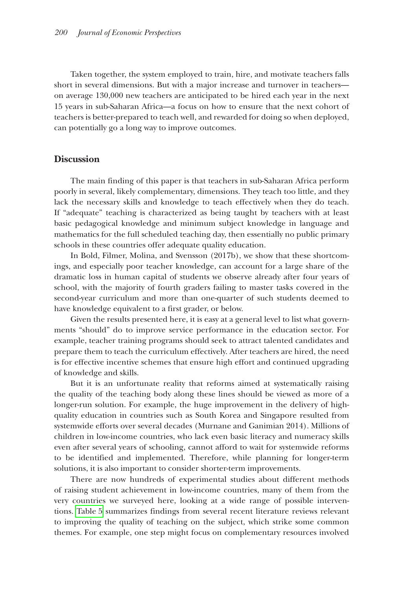Taken together, the system employed to train, hire, and motivate teachers falls short in several dimensions. But with a major increase and turnover in teachers on average 130,000 new teachers are anticipated to be hired each year in the next 15 years in sub-Saharan Africa—a focus on how to ensure that the next cohort of teachers is better-prepared to teach well, and rewarded for doing so when deployed, can potentially go a long way to improve outcomes.

#### **Discussion**

The main finding of this paper is that teachers in sub-Saharan Africa perform poorly in several, likely complementary, dimensions. They teach too little, and they lack the necessary skills and knowledge to teach effectively when they do teach. If "adequate" teaching is characterized as being taught by teachers with at least basic pedagogical knowledge and minimum subject knowledge in language and mathematics for the full scheduled teaching day, then essentially no public primary schools in these countries offer adequate quality education.

In Bold, Filmer, Molina, and Svensson (2017b), we show that these shortcomings, and especially poor teacher knowledge, can account for a large share of the dramatic loss in human capital of students we observe already after four years of school, with the majority of fourth graders failing to master tasks covered in the second-year curriculum and more than one-quarter of such students deemed to have knowledge equivalent to a first grader, or below.

Given the results presented here, it is easy at a general level to list what governments "should" do to improve service performance in the education sector. For example, teacher training programs should seek to attract talented candidates and prepare them to teach the curriculum effectively. After teachers are hired, the need is for effective incentive schemes that ensure high effort and continued upgrading of knowledge and skills.

But it is an unfortunate reality that reforms aimed at systematically raising the quality of the teaching body along these lines should be viewed as more of a longer-run solution. For example, the huge improvement in the delivery of highquality education in countries such as South Korea and Singapore resulted from systemwide efforts over several decades (Murnane and Ganimian 2014). Millions of children in low-income countries, who lack even basic literacy and numeracy skills even after several years of schooling, cannot afford to wait for systemwide reforms to be identified and implemented. Therefore, while planning for longer-term solutions, it is also important to consider shorter-term improvements.

There are now hundreds of experimental studies about different methods of raising student achievement in low-income countries, many of them from the very countries we surveyed here, looking at a wide range of possible interventions. [Table](#page-16-0) 5 summarizes findings from several recent literature reviews relevant to improving the quality of teaching on the subject, which strike some common themes. For example, one step might focus on complementary resources involved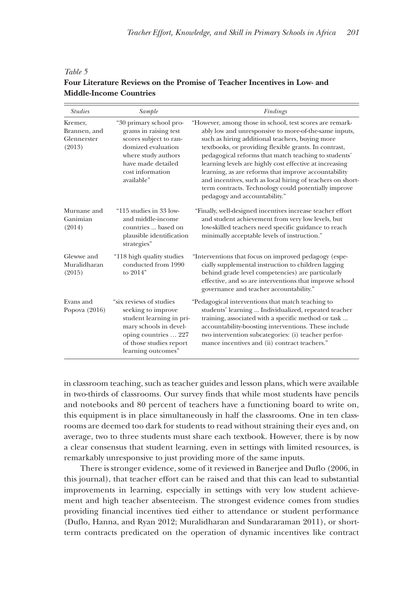| Tuvie 2                                                                  |  |
|--------------------------------------------------------------------------|--|
| Four Literature Reviews on the Promise of Teacher Incentives in Low- and |  |
| <b>Middle-Income Countries</b>                                           |  |

<span id="page-16-0"></span>*Table 5*

| <b>Studies</b>                                   | Sample                                                                                                                                                                          | Findings                                                                                                                                                                                                                                                                                                                                                                                                                                                                                                                                                        |
|--------------------------------------------------|---------------------------------------------------------------------------------------------------------------------------------------------------------------------------------|-----------------------------------------------------------------------------------------------------------------------------------------------------------------------------------------------------------------------------------------------------------------------------------------------------------------------------------------------------------------------------------------------------------------------------------------------------------------------------------------------------------------------------------------------------------------|
| Kremer,<br>Brannen, and<br>Glennerster<br>(2013) | "30 primary school pro-<br>grams in raising test<br>scores subject to ran-<br>domized evaluation<br>where study authors<br>have made detailed<br>cost information<br>available" | "However, among those in school, test scores are remark-<br>ably low and unresponsive to more-of-the-same inputs,<br>such as hiring additional teachers, buying more<br>textbooks, or providing flexible grants. In contrast,<br>pedagogical reforms that match teaching to students'<br>learning levels are highly cost effective at increasing<br>learning, as are reforms that improve accountability<br>and incentives, such as local hiring of teachers on short-<br>term contracts. Technology could potentially improve<br>pedagogy and accountability." |
| Murnane and<br>Ganimian<br>(2014)                | "115 studies in 33 low-<br>and middle-income<br>countries  based on<br>plausible identification<br>strategies"                                                                  | "Finally, well-designed incentives increase teacher effort<br>and student achievement from very low levels, but<br>low-skilled teachers need specific guidance to reach<br>minimally acceptable levels of instruction."                                                                                                                                                                                                                                                                                                                                         |
| Glewwe and<br>Muralidharan<br>(2015)             | "118 high quality studies"<br>conducted from 1990<br>to 2014"                                                                                                                   | "Interventions that focus on improved pedagogy (espe-<br>cially supplemental instruction to children lagging<br>behind grade level competencies) are particularly<br>effective, and so are interventions that improve school<br>governance and teacher accountability."                                                                                                                                                                                                                                                                                         |
| Evans and<br>Popova $(2016)$                     | "six reviews of studies<br>seeking to improve<br>student learning in pri-<br>mary schools in devel-<br>oping countries  227<br>of those studies report<br>learning outcomes"    | "Pedagogical interventions that match teaching to<br>students' learning  Individualized, repeated teacher<br>training, associated with a specific method or task<br>accountability-boosting interventions. These include<br>two intervention subcategories: (i) teacher perfor-<br>mance incentives and (ii) contract teachers."                                                                                                                                                                                                                                |

in classroom teaching, such as teacher guides and lesson plans, which were available in two-thirds of classrooms. Our survey finds that while most students have pencils and notebooks and 80 percent of teachers have a functioning board to write on, this equipment is in place simultaneously in half the classrooms. One in ten classrooms are deemed too dark for students to read without straining their eyes and, on average, two to three students must share each textbook. However, there is by now a clear consensus that student learning, even in settings with limited resources, is remarkably unresponsive to just providing more of the same inputs.

There is stronger evidence, some of it reviewed in Banerjee and Duflo (2006, in this journal), that teacher effort can be raised and that this can lead to substantial improvements in learning, especially in settings with very low student achievement and high teacher absenteeism. The strongest evidence comes from studies providing financial incentives tied either to attendance or student performance (Duflo, Hanna, and Ryan 2012; Muralidharan and Sundararaman 2011), or shortterm contracts predicated on the operation of dynamic incentives like contract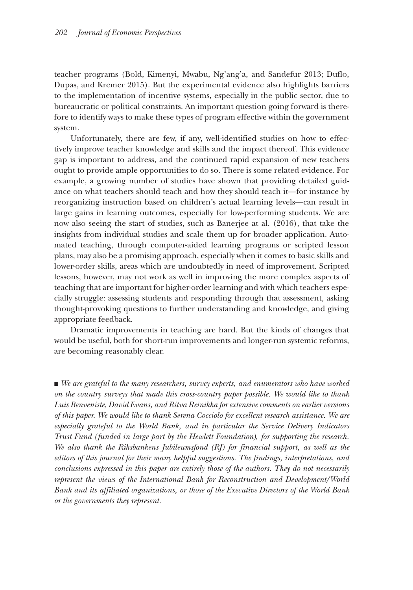teacher programs (Bold, Kimenyi, Mwabu, Ng'ang'a, and Sandefur 2013; Duflo, Dupas, and Kremer 2015). But the experimental evidence also highlights barriers to the implementation of incentive systems, especially in the public sector, due to bureaucratic or political constraints. An important question going forward is therefore to identify ways to make these types of program effective within the government system.

Unfortunately, there are few, if any, well-identified studies on how to effectively improve teacher knowledge and skills and the impact thereof. This evidence gap is important to address, and the continued rapid expansion of new teachers ought to provide ample opportunities to do so. There is some related evidence. For example, a growing number of studies have shown that providing detailed guidance on what teachers should teach and how they should teach it—for instance by reorganizing instruction based on children's actual learning levels—can result in large gains in learning outcomes, especially for low-performing students. We are now also seeing the start of studies, such as Banerjee at al. (2016), that take the insights from individual studies and scale them up for broader application. Automated teaching, through computer-aided learning programs or scripted lesson plans, may also be a promising approach, especially when it comes to basic skills and lower-order skills, areas which are undoubtedly in need of improvement. Scripted lessons, however, may not work as well in improving the more complex aspects of teaching that are important for higher-order learning and with which teachers especially struggle: assessing students and responding through that assessment, asking thought-provoking questions to further understanding and knowledge, and giving appropriate feedback.

Dramatic improvements in teaching are hard. But the kinds of changes that would be useful, both for short-run improvements and longer-run systemic reforms, are becoming reasonably clear.

■ *We are grateful to the many researchers, survey experts, and enumerators who have worked on the country surveys that made this cross-country paper possible. We would like to thank Luis Benveniste, David Evans, and Ritva Reinikka for extensive comments on earlier versions of this paper. We would like to thank Serena Cocciolo for excellent research assistance. We are especially grateful to the World Bank, and in particular the Service Delivery Indicators Trust Fund (funded in large part by the Hewlett Foundation), for supporting the research. We also thank the Riksbankens Jubileumsfond (RJ) for financial support, as well as the editors of this journal for their many helpful suggestions. The findings, interpretations, and conclusions expressed in this paper are entirely those of the authors. They do not necessarily represent the views of the International Bank for Reconstruction and Development/World Bank and its affiliated organizations, or those of the Executive Directors of the World Bank or the governments they represent.*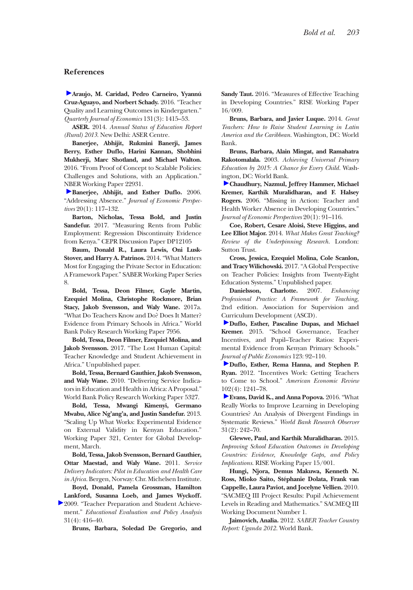#### **References**

**Araujo, M. Caridad, Pedro Carneiro, Yyannú Cruz-Aguayo, and Norbert Schady.** 2016. "Teacher Quality and Learning Outcomes in Kindergarten." *Quarterly Journal of Economics* 131(3): 1415–53.

**ASER.** 2014. *Annual Status of Education Report (Rural) 2013*. New Delhi: ASER Centre.

**Banerjee, Abhijit, Rukmini Banerji, James Berry, Esther Duflo, Harini Kannan, Shobhini Mukherji, Marc Shotland, and Michael Walton.**  2016. "From Proof of Concept to Scalable Policies: Challenges and Solutions, with an Application." NBER Working Paper 22931.

**Banerjee, Abhijit, and Esther Duflo.** 2006. "Addressing Absence." *Journal of Economic Perspectives* 20(1): 117–132.

**Barton, Nicholas, Tessa Bold, and Justin Sandefur.** 2017. "Measuring Rents from Public Employment: Regression Discontinuity Evidence from Kenya." CEPR Discussion Paper DP12105

**Baum, Donald R., Laura Lewis, Oni Lusk-Stover, and Harry A. Patrinos.** 2014. "What Matters Most for Engaging the Private Sector in Education: A Framework Paper." SABER Working Paper Series 8.

**Bold, Tessa, Deon Filmer, Gayle Martin, Ezequiel Molina, Christophe Rockmore, Brian Stacy, Jakob Svensson, and Waly Wane.** 2017a. "What Do Teachers Know and Do? Does It Matter? Evidence from Primary Schools in Africa." World Bank Policy Research Working Paper 7956.

**Bold, Tessa, Deon Filmer, Ezequiel Molina, and Jakob Svensson.** 2017. "The Lost Human Capital: Teacher Knowledge and Student Achievement in Africa." Unpublished paper.

**Bold, Tessa, Bernard Gauthier, Jakob Svensson, and Waly Wane.** 2010. "Delivering Service Indicators in Education and Health in Africa: A Proposal." World Bank Policy Research Working Paper 5327.

**Bold, Tessa, Mwangi Kimenyi, Germano Mwabu, Alice Ng'ang'a, and Justin Sandefur.** 2013. "Scaling Up What Works: Experimental Evidence on External Validity in Kenyan Education." Working Paper 321, Center for Global Development, March.

**Bold, Tessa, Jakob Svensson, Bernard Gauthier, Ottar Maestad, and Waly Wane.** 2011. *Service Delivery Indicators: Pilot in Education and Health Care in Africa*. Bergen, Norway: Chr. Michelsen Institute.

**Boyd, Donald, Pamela Grossman, Hamilton Lankford, Susanna Loeb, and James Wyckoff.** 

2009. "Teacher Preparation and Student Achievement." *Educational Evaluation and Policy Analysis* 31(4): 416–40.

**Bruns, Barbara, Soledad De Gregorio, and** 

**Sandy Taut.** 2016. "Measures of Effective Teaching in Developing Countries." RISE Working Paper 16/009.

**Bruns, Barbara, and Javier Luque.** 2014. *Great Teachers: How to Raise Student Learning in Latin America and the Caribbean*. Washington, DC: World Bank.

**Bruns, Barbara, Alain Mingat, and Ramahatra Rakotomalala.** 2003. *Achieving Universal Primary Education by 2015: A Chance for Every Child.* Washington, DC: World Bank.

**Chaudhury, Nazmul, Jeffrey Hammer, Michael Kremer, Karthik Muralidharan, and F. Halsey Rogers.** 2006. "Missing in Action: Teacher and Health Worker Absence in Developing Countries." *Journal of Economic Perspectives* 20(1): 91–116.

**Coe, Robert, Cesare Aloisi, Steve Higgins, and Lee Elliot Major.** 2014. *What Makes Great Teaching? Review of the Underpinning Research*. London: Sutton Trust.

**Cross, Jessica, Ezequiel Molina, Cole Scanlon, and Tracy Wilichowski.** 2017. "A Global Perspective on Teacher Policies: Insights from Twenty-Eight Education Systems." Unpublished paper.

**Danielsson, Charlotte.** 2007. *Enhancing Professional Practice: A Framework for Teaching,* 2nd edition. Association for Supervision and Curriculum Development (ASCD).

**Duflo, Esther, Pascaline Dupas, and Michael Kremer.** 2015. "School Governance, Teacher Incentives, and Pupil–Teacher Ratios: Experimental Evidence from Kenyan Primary Schools." *Journal of Public Economics* 123: 92–110.

**Duflo, Esther, Rema Hanna, and Stephen P. Ryan.** 2012. "Incentives Work: Getting Teachers to Come to School." *American Economic Review*  102(4): 1241–78.

**Evans, David K., and Anna Popova.** 2016. "What Really Works to Improve Learning in Developing Countries? An Analysis of Divergent Findings in Systematic Reviews." *World Bank Research Observer* 31(2): 242–70.

**Glewwe, Paul, and Karthik Muralidharan.** 2015. *Improving School Education Outcomes in Developing Countries: Evidence, Knowledge Gaps, and Policy Implications*. RISE Working Paper 15/001.

**Hungi, Njora, Demus Makuwa, Kenneth N. Ross, Mioko Saito, Stéphanie Dolata, Frank van Cappelle, Laura Paviot, and Jocelyne Vellien.** 2010. "SACMEQ III Project Results: Pupil Achievement Levels in Reading and Mathematics." SACMEQ III Working Document Number 1.

**Jaimovich, Analia.** 2012. *SABER Teacher Country Report: Uganda 2012*. World Bank.